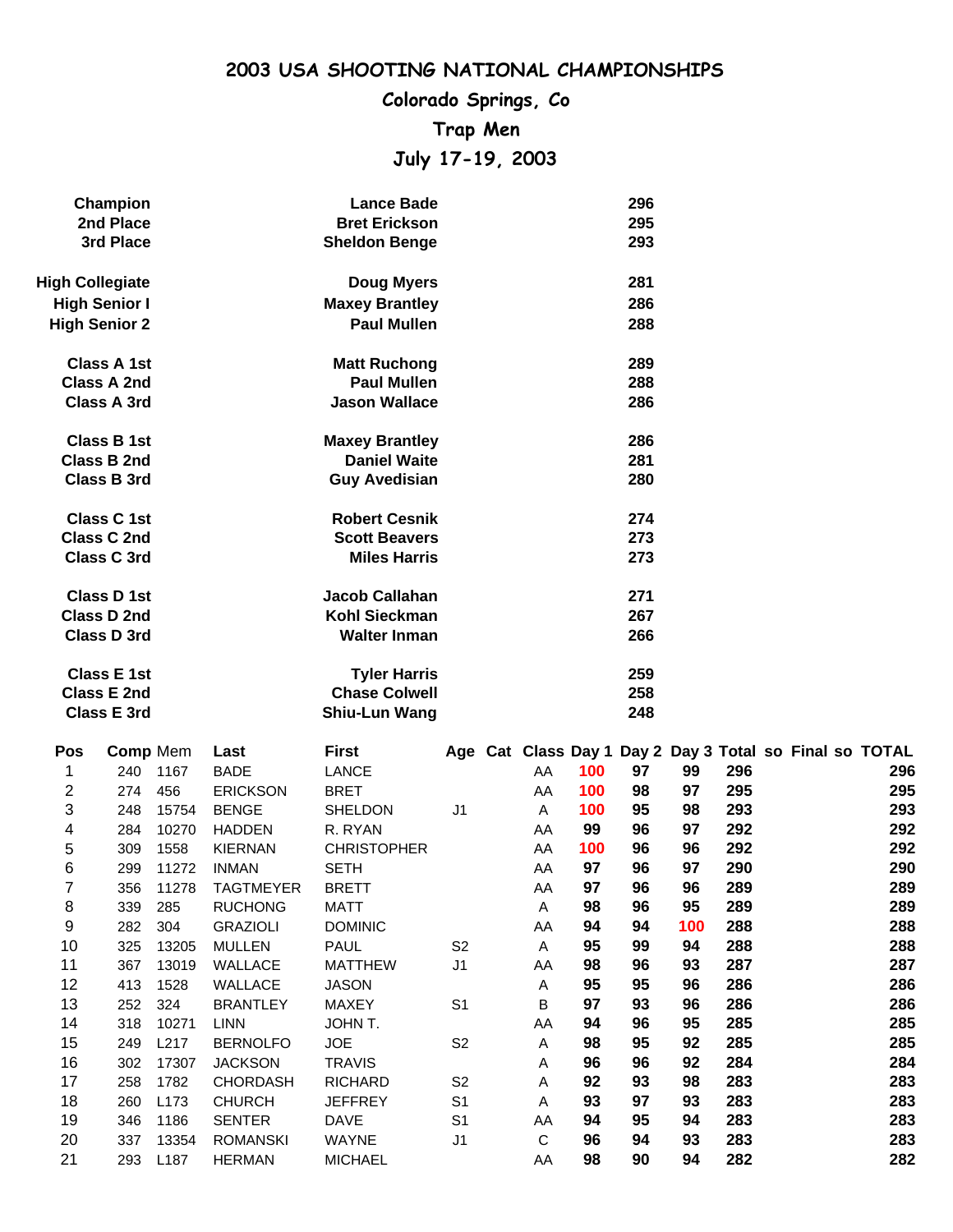# **Colorado Springs, Co Trap Men July 17-19, 2003**

| Champion               | <b>Lance Bade</b>     | 296 |
|------------------------|-----------------------|-----|
| 2nd Place              | <b>Bret Erickson</b>  | 295 |
| 3rd Place              | <b>Sheldon Benge</b>  | 293 |
| <b>High Collegiate</b> | <b>Doug Myers</b>     | 281 |
| <b>High Senior I</b>   | <b>Maxey Brantley</b> | 286 |
| <b>High Senior 2</b>   | <b>Paul Mullen</b>    | 288 |
| Class A 1st            | <b>Matt Ruchong</b>   | 289 |
| Class A 2nd            | <b>Paul Mullen</b>    | 288 |
| Class A 3rd            | <b>Jason Wallace</b>  | 286 |
| Class B 1st            | <b>Maxey Brantley</b> | 286 |
| Class B 2nd            | <b>Daniel Waite</b>   | 281 |
| <b>Class B 3rd</b>     | <b>Guy Avedisian</b>  | 280 |
| Class C 1st            | <b>Robert Cesnik</b>  | 274 |
| <b>Class C 2nd</b>     | <b>Scott Beavers</b>  | 273 |
| Class C 3rd            | <b>Miles Harris</b>   | 273 |
| Class D 1st            | Jacob Callahan        | 271 |
| Class D 2nd            | Kohl Sieckman         | 267 |
| Class D 3rd            | <b>Walter Inman</b>   | 266 |
| <b>Class E 1st</b>     | <b>Tyler Harris</b>   | 259 |
| Class E 2nd            | <b>Chase Colwell</b>  | 258 |
| Class E 3rd            | Shiu-Lun Wang         | 248 |
|                        |                       |     |

| Pos | <b>Comp Mem</b> |                  | Last             | <b>First</b>       |                |    |     |    |     |     |  | Age Cat Class Day 1 Day 2 Day 3 Total so Final so TOTAL |
|-----|-----------------|------------------|------------------|--------------------|----------------|----|-----|----|-----|-----|--|---------------------------------------------------------|
| 1.  | 240             | 1167             | <b>BADE</b>      | LANCE              |                | AA | 100 | 97 | 99  | 296 |  | 296                                                     |
| 2   | 274             | 456              | <b>ERICKSON</b>  | <b>BRET</b>        |                | AA | 100 | 98 | 97  | 295 |  | 295                                                     |
| 3   | 248             | 15754            | <b>BENGE</b>     | SHELDON            | J <sub>1</sub> | Α  | 100 | 95 | 98  | 293 |  | 293                                                     |
| 4   | 284             | 10270            | <b>HADDEN</b>    | R. RYAN            |                | AA | 99  | 96 | 97  | 292 |  | 292                                                     |
| 5   | 309             | 1558             | <b>KIERNAN</b>   | <b>CHRISTOPHER</b> |                | AA | 100 | 96 | 96  | 292 |  | 292                                                     |
| 6   | 299             | 11272            | <b>INMAN</b>     | <b>SETH</b>        |                | AA | 97  | 96 | 97  | 290 |  | 290                                                     |
| 7   | 356             | 11278            | <b>TAGTMEYER</b> | <b>BRETT</b>       |                | AA | 97  | 96 | 96  | 289 |  | 289                                                     |
| 8   | 339             | 285              | <b>RUCHONG</b>   | <b>MATT</b>        |                | Α  | 98  | 96 | 95  | 289 |  | 289                                                     |
| 9   | 282             | 304              | <b>GRAZIOLI</b>  | <b>DOMINIC</b>     |                | AA | 94  | 94 | 100 | 288 |  | 288                                                     |
| 10  | 325             | 13205            | <b>MULLEN</b>    | <b>PAUL</b>        | S <sub>2</sub> | A  | 95  | 99 | 94  | 288 |  | 288                                                     |
| 11  | 367             | 13019            | WALLACE          | <b>MATTHEW</b>     | J <sub>1</sub> | AA | 98  | 96 | 93  | 287 |  | 287                                                     |
| 12  | 413             | 1528             | <b>WALLACE</b>   | <b>JASON</b>       |                | A  | 95  | 95 | 96  | 286 |  | 286                                                     |
| 13  | 252             | 324              | <b>BRANTLEY</b>  | <b>MAXEY</b>       | S <sub>1</sub> | В  | 97  | 93 | 96  | 286 |  | 286                                                     |
| 14  | 318             | 10271            | LINN             | JOHN T.            |                | AA | 94  | 96 | 95  | 285 |  | 285                                                     |
| 15  | 249             | L217             | <b>BERNOLFO</b>  | <b>JOE</b>         | S <sub>2</sub> | Α  | 98  | 95 | 92  | 285 |  | 285                                                     |
| 16  | 302             | 17307            | <b>JACKSON</b>   | <b>TRAVIS</b>      |                | A  | 96  | 96 | 92  | 284 |  | 284                                                     |
| 17  | 258             | 1782             | <b>CHORDASH</b>  | <b>RICHARD</b>     | S <sub>2</sub> | A  | 92  | 93 | 98  | 283 |  | 283                                                     |
| 18  | 260             | L <sub>173</sub> | <b>CHURCH</b>    | <b>JEFFREY</b>     | S <sub>1</sub> | A  | 93  | 97 | 93  | 283 |  | 283                                                     |
| 19  | 346             | 1186             | <b>SENTER</b>    | <b>DAVE</b>        | S <sub>1</sub> | AA | 94  | 95 | 94  | 283 |  | 283                                                     |
| 20  | 337             | 13354            | <b>ROMANSKI</b>  | <b>WAYNE</b>       | J <sub>1</sub> | C  | 96  | 94 | 93  | 283 |  | 283                                                     |
| 21  | 293             | L <sub>187</sub> | <b>HERMAN</b>    | <b>MICHAEL</b>     |                | AA | 98  | 90 | 94  | 282 |  | 282                                                     |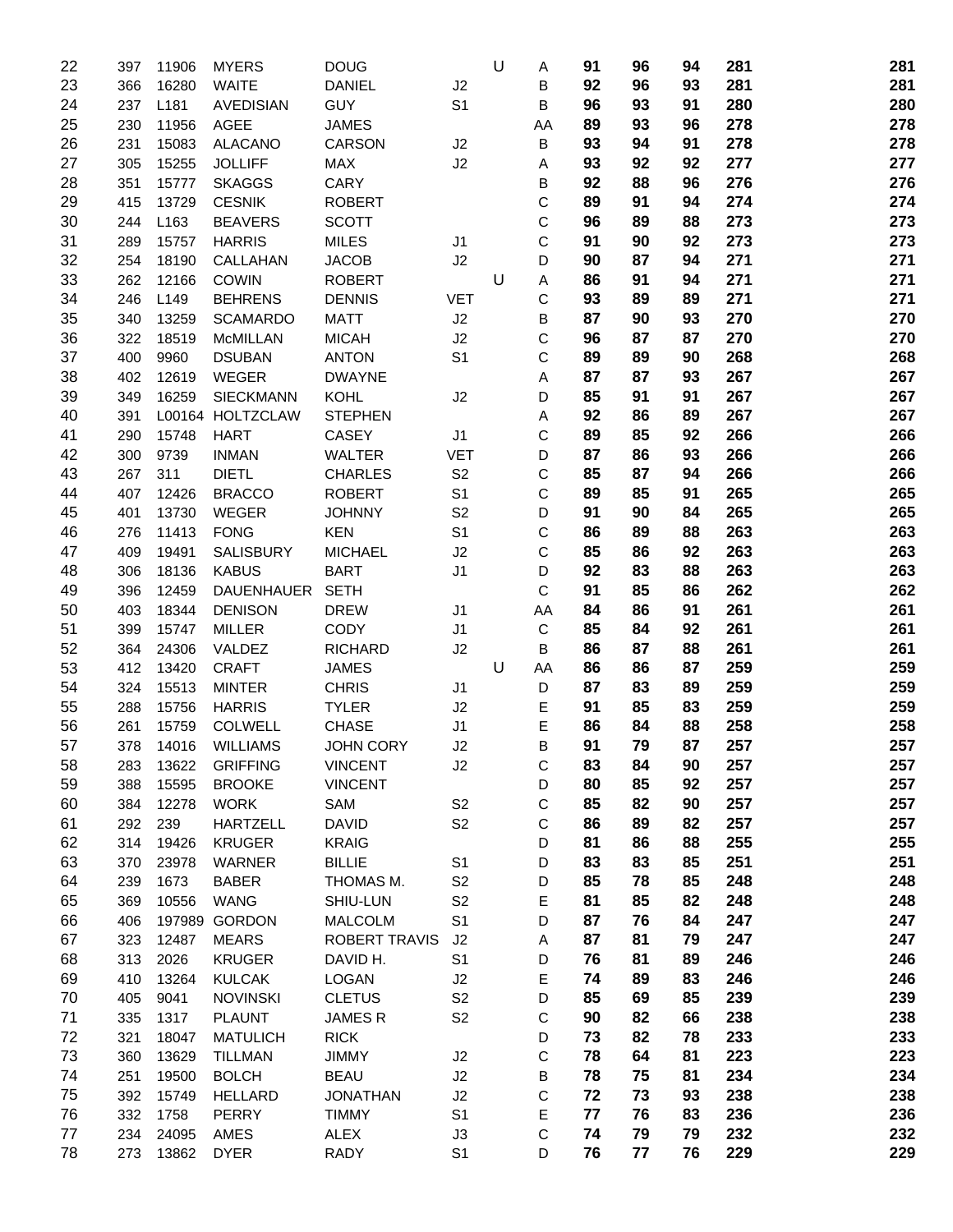| 22       | 397        | 11906            | <b>MYERS</b>                 | <b>DOUG</b>                |                                  | U | Α           | 91       | 96       | 94       | 281        | 281        |
|----------|------------|------------------|------------------------------|----------------------------|----------------------------------|---|-------------|----------|----------|----------|------------|------------|
| 23       | 366        | 16280            | <b>WAITE</b>                 | <b>DANIEL</b>              | J2                               |   | В           | 92       | 96       | 93       | 281        | 281        |
| 24       | 237        | L181             | <b>AVEDISIAN</b>             | <b>GUY</b>                 | S <sub>1</sub>                   |   | В           | 96       | 93       | 91       | 280        | 280        |
| 25       | 230        | 11956            | <b>AGEE</b>                  | <b>JAMES</b>               |                                  |   | AA          | 89       | 93       | 96       | 278        | 278        |
| 26       | 231        | 15083            | <b>ALACANO</b>               | CARSON                     | J2                               |   | В           | 93       | 94       | 91       | 278        | 278        |
| 27       | 305        | 15255            | <b>JOLLIFF</b>               | <b>MAX</b>                 | J2                               |   | Α           | 93       | 92       | 92       | 277        | 277        |
| 28       | 351        | 15777            | <b>SKAGGS</b>                | CARY                       |                                  |   | В           | 92       | 88       | 96       | 276        | 276        |
| 29       | 415        | 13729            | <b>CESNIK</b>                | <b>ROBERT</b>              |                                  |   | С           | 89       | 91       | 94       | 274        | 274        |
| 30       | 244        | L <sub>163</sub> | <b>BEAVERS</b>               | <b>SCOTT</b>               |                                  |   | C           | 96       | 89       | 88       | 273        | 273        |
| 31       | 289        | 15757            | <b>HARRIS</b>                | <b>MILES</b>               | J1                               |   | C           | 91       | 90       | 92       | 273        | 273        |
| 32       | 254        | 18190            | CALLAHAN                     | <b>JACOB</b>               | J2                               |   | D           | 90       | 87       | 94       | 271        | 271        |
| 33       | 262        | 12166            | <b>COWIN</b>                 | <b>ROBERT</b>              |                                  | U | A           | 86       | 91       | 94       | 271        | 271        |
| 34       | 246        | L149             | <b>BEHRENS</b>               | <b>DENNIS</b>              | <b>VET</b>                       |   | C           | 93       | 89       | 89       | 271        | 271        |
| 35       | 340        | 13259            | <b>SCAMARDO</b>              | <b>MATT</b>                | J2                               |   | B           | 87       | 90       | 93       | 270        | 270        |
| 36       | 322        | 18519            | <b>McMILLAN</b>              | <b>MICAH</b>               | J2                               |   | С           | 96       | 87       | 87       | 270        | 270        |
| 37       | 400        | 9960             | <b>DSUBAN</b>                | <b>ANTON</b>               | S <sub>1</sub>                   |   | C           | 89       | 89       | 90       | 268        | 268        |
| 38       | 402        | 12619            | WEGER                        | <b>DWAYNE</b>              |                                  |   | Α           | 87       | 87       | 93       | 267        | 267        |
| 39       | 349        | 16259            | <b>SIECKMANN</b>             | <b>KOHL</b>                | J2                               |   | D           | 85       | 91       | 91       | 267        | 267        |
| 40       | 391        |                  | L00164 HOLTZCLAW             | <b>STEPHEN</b>             |                                  |   | Α           | 92       | 86       | 89       | 267        | 267        |
| 41       | 290        | 15748            | <b>HART</b>                  | <b>CASEY</b>               | J <sub>1</sub>                   |   | C           | 89       | 85       | 92       | 266        | 266        |
| 42       | 300        | 9739             | <b>INMAN</b>                 | <b>WALTER</b>              | <b>VET</b>                       |   | D           | 87       | 86       | 93       | 266        | 266        |
| 43       | 267        | 311              | <b>DIETL</b>                 | <b>CHARLES</b>             | S <sub>2</sub>                   |   | C           | 85       | 87       | 94       | 266        | 266        |
| 44       | 407        | 12426            | <b>BRACCO</b>                | <b>ROBERT</b>              | S <sub>1</sub>                   |   | C           | 89       | 85       | 91       | 265        | 265        |
| 45       | 401        | 13730            | WEGER                        | <b>JOHNNY</b>              | S <sub>2</sub>                   |   | D           | 91       | 90       | 84       | 265        | 265        |
| 46       | 276        | 11413            | <b>FONG</b>                  | <b>KEN</b>                 | S <sub>1</sub>                   |   | $\mathsf C$ | 86       | 89       | 88       | 263        | 263        |
| 47       | 409        | 19491            | SALISBURY                    | <b>MICHAEL</b>             | J2                               |   | C           | 85       | 86       | 92       | 263        | 263        |
| 48       | 306        | 18136            | <b>KABUS</b>                 | <b>BART</b>                | J <sub>1</sub>                   |   | D           | 92       | 83       | 88       | 263        | 263        |
| 49       | 396        | 12459            | <b>DAUENHAUER</b>            | <b>SETH</b>                |                                  |   | C           | 91       | 85       | 86       | 262        | 262        |
| 50       | 403        | 18344            | <b>DENISON</b>               | <b>DREW</b>                | J <sub>1</sub>                   |   | AA          | 84       | 86       | 91       | 261        | 261        |
| 51       | 399        | 15747            | <b>MILLER</b>                | <b>CODY</b>                | J <sub>1</sub>                   |   | $\mathsf C$ | 85       | 84       | 92       | 261        | 261        |
| 52       | 364        | 24306            | VALDEZ                       | <b>RICHARD</b>             | J2                               |   | В           | 86       | 87       | 88       | 261        | 261        |
| 53       | 412        | 13420            | <b>CRAFT</b>                 | <b>JAMES</b>               |                                  | U | AA          | 86       | 86       | 87       | 259        | 259        |
| 54       | 324        | 15513            | <b>MINTER</b>                | <b>CHRIS</b>               | J <sub>1</sub>                   |   | D           | 87       | 83       | 89       | 259        | 259        |
| 55       | 288        | 15756            | <b>HARRIS</b>                | <b>TYLER</b>               | J2                               |   | Е           | 91       | 85       | 83       | 259        | 259        |
| 56       | 261        | 15759            | <b>COLWELL</b>               | <b>CHASE</b>               | J <sub>1</sub>                   |   | E           | 86       | 84       | 88       | 258        | 258        |
| 57       | 378        | 14016            | <b>WILLIAMS</b>              | <b>JOHN CORY</b>           | J2                               |   | В           | 91       | 79       | 87       | 257        | 257        |
| 58       | 283        | 13622            | <b>GRIFFING</b>              | <b>VINCENT</b>             | J2                               |   | C           | 83       | 84       | 90       | 257        | 257        |
| 59       | 388        | 15595            | <b>BROOKE</b>                | <b>VINCENT</b>             |                                  |   | D           | 80       | 85       | 92       | 257        | 257        |
| 60       | 384        | 12278            | <b>WORK</b>                  | SAM                        | S <sub>2</sub>                   |   | C           | 85       | 82       | 90       | 257        | 257        |
| 61       | 292        | 239              | <b>HARTZELL</b>              | <b>DAVID</b>               | S <sub>2</sub>                   |   | C           | 86       | 89       | 82       | 257        | 257        |
| 62       | 314        | 19426            | <b>KRUGER</b>                | <b>KRAIG</b>               |                                  |   | D           | 81       | 86       | 88       | 255        | 255        |
| 63       | 370        | 23978            | WARNER                       | <b>BILLIE</b>              | S <sub>1</sub>                   |   | D           | 83       | 83       | 85       | 251        | 251        |
| 64       | 239        | 1673             | <b>BABER</b>                 | THOMAS M.                  | S <sub>2</sub>                   |   | D           | 85       | 78<br>85 | 85<br>82 | 248<br>248 | 248<br>248 |
| 65<br>66 | 369        | 10556            | <b>WANG</b><br>197989 GORDON | SHIU-LUN<br><b>MALCOLM</b> | S <sub>2</sub><br>S <sub>1</sub> |   | Е<br>D      | 81<br>87 | 76       | 84       | 247        | 247        |
| 67       | 406<br>323 | 12487            | <b>MEARS</b>                 | <b>ROBERT TRAVIS</b>       | J2                               |   | Α           | 87       | 81       | 79       | 247        | 247        |
| 68       | 313        | 2026             | <b>KRUGER</b>                | DAVID H.                   | S <sub>1</sub>                   |   | D           | 76       | 81       | 89       | 246        | 246        |
| 69       | 410        | 13264            | <b>KULCAK</b>                | LOGAN                      | J2                               |   | E           | 74       | 89       | 83       | 246        | 246        |
| 70       | 405        | 9041             | <b>NOVINSKI</b>              | <b>CLETUS</b>              | S <sub>2</sub>                   |   | D           | 85       | 69       | 85       | 239        | 239        |
| 71       | 335        | 1317             | <b>PLAUNT</b>                | JAMES R                    | S <sub>2</sub>                   |   | C           | 90       | 82       | 66       | 238        | 238        |
| 72       | 321        | 18047            | <b>MATULICH</b>              | <b>RICK</b>                |                                  |   | D           | 73       | 82       | 78       | 233        | 233        |
| 73       | 360        | 13629            | <b>TILLMAN</b>               | <b>JIMMY</b>               | J2                               |   | $\mathbf C$ | 78       | 64       | 81       | 223        | 223        |
| 74       | 251        | 19500            | <b>BOLCH</b>                 | <b>BEAU</b>                | J2                               |   | В           | 78       | 75       | 81       | 234        | 234        |
| 75       | 392        | 15749            | <b>HELLARD</b>               | <b>JONATHAN</b>            | J2                               |   | $\mathbf C$ | 72       | 73       | 93       | 238        | 238        |
| 76       | 332        | 1758             | <b>PERRY</b>                 | <b>TIMMY</b>               | S <sub>1</sub>                   |   | E           | 77       | 76       | 83       | 236        | 236        |
| 77       | 234        | 24095            | AMES                         | <b>ALEX</b>                | J3                               |   | $\mathsf C$ | 74       | 79       | 79       | 232        | 232        |
| 78       | 273        | 13862            | <b>DYER</b>                  | <b>RADY</b>                | S <sub>1</sub>                   |   | D           | 76       | 77       | 76       | 229        | 229        |
|          |            |                  |                              |                            |                                  |   |             |          |          |          |            |            |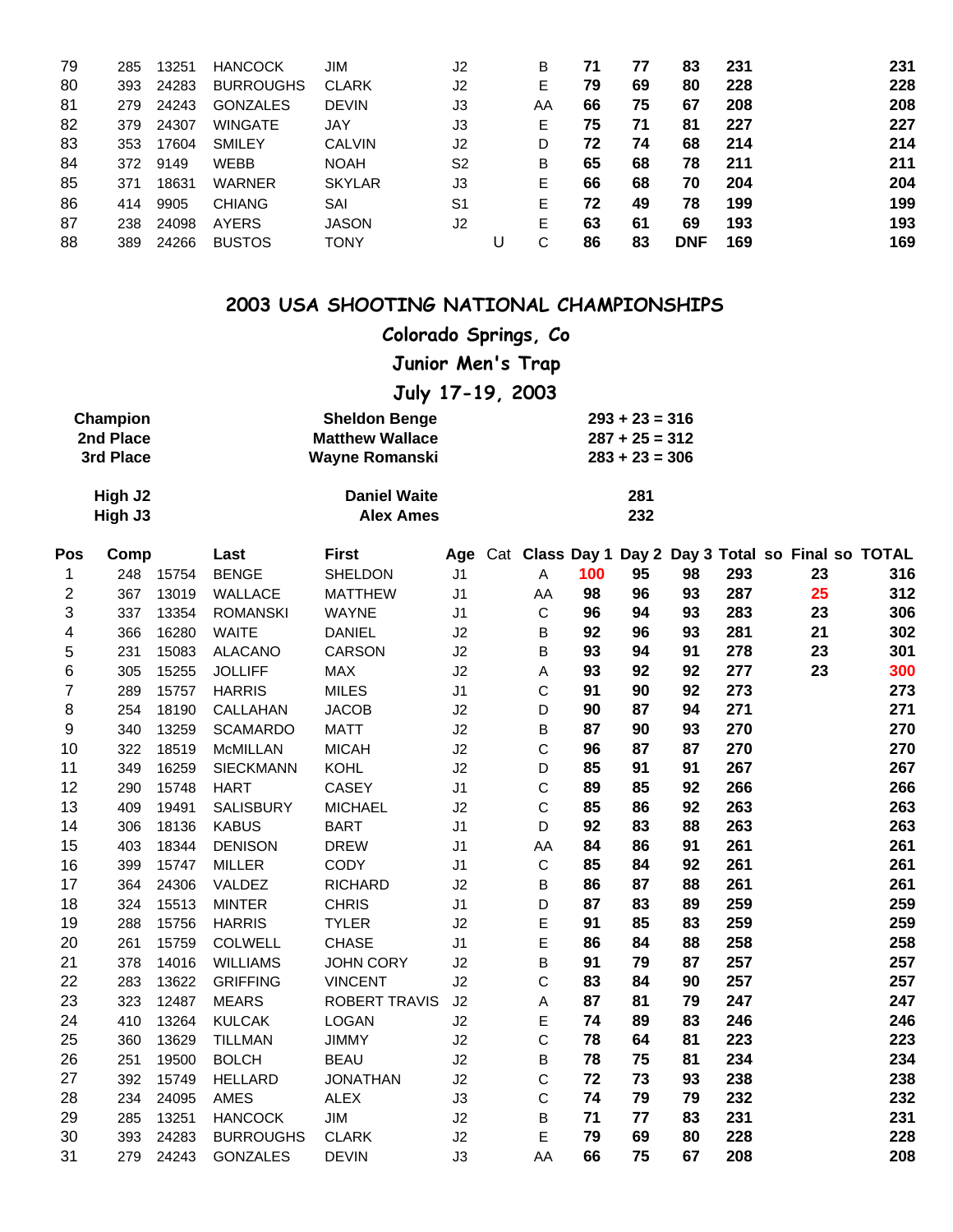| 79 | 285 | 13251 | <b>HANCOCK</b>   | JIM           | J2             |   | B  | 71 | 77 | 83         | 231 | 231 |
|----|-----|-------|------------------|---------------|----------------|---|----|----|----|------------|-----|-----|
| 80 | 393 | 24283 | <b>BURROUGHS</b> | <b>CLARK</b>  | J2             |   | E  | 79 | 69 | 80         | 228 | 228 |
| 81 | 279 | 24243 | <b>GONZALES</b>  | <b>DEVIN</b>  | J3             |   | AA | 66 | 75 | 67         | 208 | 208 |
| 82 | 379 | 24307 | <b>WINGATE</b>   | JAY           | J3             |   | E. | 75 | 71 | 81         | 227 | 227 |
| 83 | 353 | 17604 | <b>SMILEY</b>    | <b>CALVIN</b> | J2             |   | D  | 72 | 74 | 68         | 214 | 214 |
| 84 | 372 | 9149  | <b>WEBB</b>      | <b>NOAH</b>   | S <sub>2</sub> |   | В  | 65 | 68 | 78         | 211 | 211 |
| 85 | 371 | 18631 | <b>WARNER</b>    | <b>SKYLAR</b> | J3             |   | Е  | 66 | 68 | 70         | 204 | 204 |
| 86 | 414 | 9905  | <b>CHIANG</b>    | SAI           | S <sub>1</sub> |   | Е  | 72 | 49 | 78         | 199 | 199 |
| 87 | 238 | 24098 | <b>AYERS</b>     | <b>JASON</b>  | J <sub>2</sub> |   | Е  | 63 | 61 | 69         | 193 | 193 |
| 88 | 389 | 24266 | <b>BUSTOS</b>    | <b>TONY</b>   |                | U | С  | 86 | 83 | <b>DNF</b> | 169 | 169 |

# **Colorado Springs, Co**

**Junior Men's Trap**

**July 17-19, 2003**

| Champion  | <b>Sheldon Benge</b>   | $293 + 23 = 316$ |
|-----------|------------------------|------------------|
| 2nd Place | <b>Matthew Wallace</b> | $287 + 25 = 312$ |
| 3rd Place | Wayne Romanski         | $283 + 23 = 306$ |

| High J2 | <b>Daniel Waite</b> | 281 |
|---------|---------------------|-----|
| High J3 | <b>Alex Ames</b>    | 232 |

| Pos | Comp |       | Last             | <b>First</b>         | Age            |             |     | Cat Class Day 1 Day 2 |    |     |    | Day 3 Total so Final so TOTAL |
|-----|------|-------|------------------|----------------------|----------------|-------------|-----|-----------------------|----|-----|----|-------------------------------|
| 1   | 248  | 15754 | <b>BENGE</b>     | SHELDON              | J <sub>1</sub> | A           | 100 | 95                    | 98 | 293 | 23 | 316                           |
| 2   | 367  | 13019 | WALLACE          | <b>MATTHEW</b>       | J <sub>1</sub> | AA          | 98  | 96                    | 93 | 287 | 25 | 312                           |
| 3   | 337  | 13354 | <b>ROMANSKI</b>  | <b>WAYNE</b>         | J <sub>1</sub> | $\mathsf C$ | 96  | 94                    | 93 | 283 | 23 | 306                           |
| 4   | 366  | 16280 | <b>WAITE</b>     | <b>DANIEL</b>        | J2             | В           | 92  | 96                    | 93 | 281 | 21 | 302                           |
| 5   | 231  | 15083 | <b>ALACANO</b>   | <b>CARSON</b>        | J2             | B           | 93  | 94                    | 91 | 278 | 23 | 301                           |
| 6   | 305  | 15255 | <b>JOLLIFF</b>   | <b>MAX</b>           | J2             | Α           | 93  | 92                    | 92 | 277 | 23 | 300                           |
| 7   | 289  | 15757 | <b>HARRIS</b>    | <b>MILES</b>         | J <sub>1</sub> | С           | 91  | 90                    | 92 | 273 |    | 273                           |
| 8   | 254  | 18190 | CALLAHAN         | <b>JACOB</b>         | J2             | D           | 90  | 87                    | 94 | 271 |    | 271                           |
| 9   | 340  | 13259 | <b>SCAMARDO</b>  | <b>MATT</b>          | J2             | В           | 87  | 90                    | 93 | 270 |    | 270                           |
| 10  | 322  | 18519 | <b>McMILLAN</b>  | <b>MICAH</b>         | J2             | C           | 96  | 87                    | 87 | 270 |    | 270                           |
| 11  | 349  | 16259 | <b>SIECKMANN</b> | <b>KOHL</b>          | J2             | D           | 85  | 91                    | 91 | 267 |    | 267                           |
| 12  | 290  | 15748 | <b>HART</b>      | <b>CASEY</b>         | J <sub>1</sub> | C           | 89  | 85                    | 92 | 266 |    | 266                           |
| 13  | 409  | 19491 | SALISBURY        | <b>MICHAEL</b>       | J2             | С           | 85  | 86                    | 92 | 263 |    | 263                           |
| 14  | 306  | 18136 | <b>KABUS</b>     | <b>BART</b>          | J <sub>1</sub> | D           | 92  | 83                    | 88 | 263 |    | 263                           |
| 15  | 403  | 18344 | <b>DENISON</b>   | <b>DREW</b>          | J <sub>1</sub> | AA          | 84  | 86                    | 91 | 261 |    | 261                           |
| 16  | 399  | 15747 | <b>MILLER</b>    | <b>CODY</b>          | J <sub>1</sub> | $\mathsf C$ | 85  | 84                    | 92 | 261 |    | 261                           |
| 17  | 364  | 24306 | VALDEZ           | <b>RICHARD</b>       | J2             | B           | 86  | 87                    | 88 | 261 |    | 261                           |
| 18  | 324  | 15513 | <b>MINTER</b>    | <b>CHRIS</b>         | J <sub>1</sub> | D           | 87  | 83                    | 89 | 259 |    | 259                           |
| 19  | 288  | 15756 | <b>HARRIS</b>    | <b>TYLER</b>         | J2             | E           | 91  | 85                    | 83 | 259 |    | 259                           |
| 20  | 261  | 15759 | <b>COLWELL</b>   | <b>CHASE</b>         | J <sub>1</sub> | E           | 86  | 84                    | 88 | 258 |    | 258                           |
| 21  | 378  | 14016 | <b>WILLIAMS</b>  | <b>JOHN CORY</b>     | J2             | B           | 91  | 79                    | 87 | 257 |    | 257                           |
| 22  | 283  | 13622 | <b>GRIFFING</b>  | <b>VINCENT</b>       | J2             | С           | 83  | 84                    | 90 | 257 |    | 257                           |
| 23  | 323  | 12487 | <b>MEARS</b>     | <b>ROBERT TRAVIS</b> | J2             | Α           | 87  | 81                    | 79 | 247 |    | 247                           |
| 24  | 410  | 13264 | <b>KULCAK</b>    | <b>LOGAN</b>         | J2             | E           | 74  | 89                    | 83 | 246 |    | 246                           |
| 25  | 360  | 13629 | <b>TILLMAN</b>   | <b>JIMMY</b>         | J2             | C           | 78  | 64                    | 81 | 223 |    | 223                           |
| 26  | 251  | 19500 | <b>BOLCH</b>     | <b>BEAU</b>          | J2             | В           | 78  | 75                    | 81 | 234 |    | 234                           |
| 27  | 392  | 15749 | <b>HELLARD</b>   | <b>JONATHAN</b>      | J2             | С           | 72  | 73                    | 93 | 238 |    | 238                           |
| 28  | 234  | 24095 | <b>AMES</b>      | <b>ALEX</b>          | J3             | С           | 74  | 79                    | 79 | 232 |    | 232                           |
| 29  | 285  | 13251 | <b>HANCOCK</b>   | <b>JIM</b>           | J2             | В           | 71  | 77                    | 83 | 231 |    | 231                           |
| 30  | 393  | 24283 | <b>BURROUGHS</b> | <b>CLARK</b>         | J2             | E           | 79  | 69                    | 80 | 228 |    | 228                           |
| 31  | 279  | 24243 | <b>GONZALES</b>  | <b>DEVIN</b>         | J3             | AA          | 66  | 75                    | 67 | 208 |    | 208                           |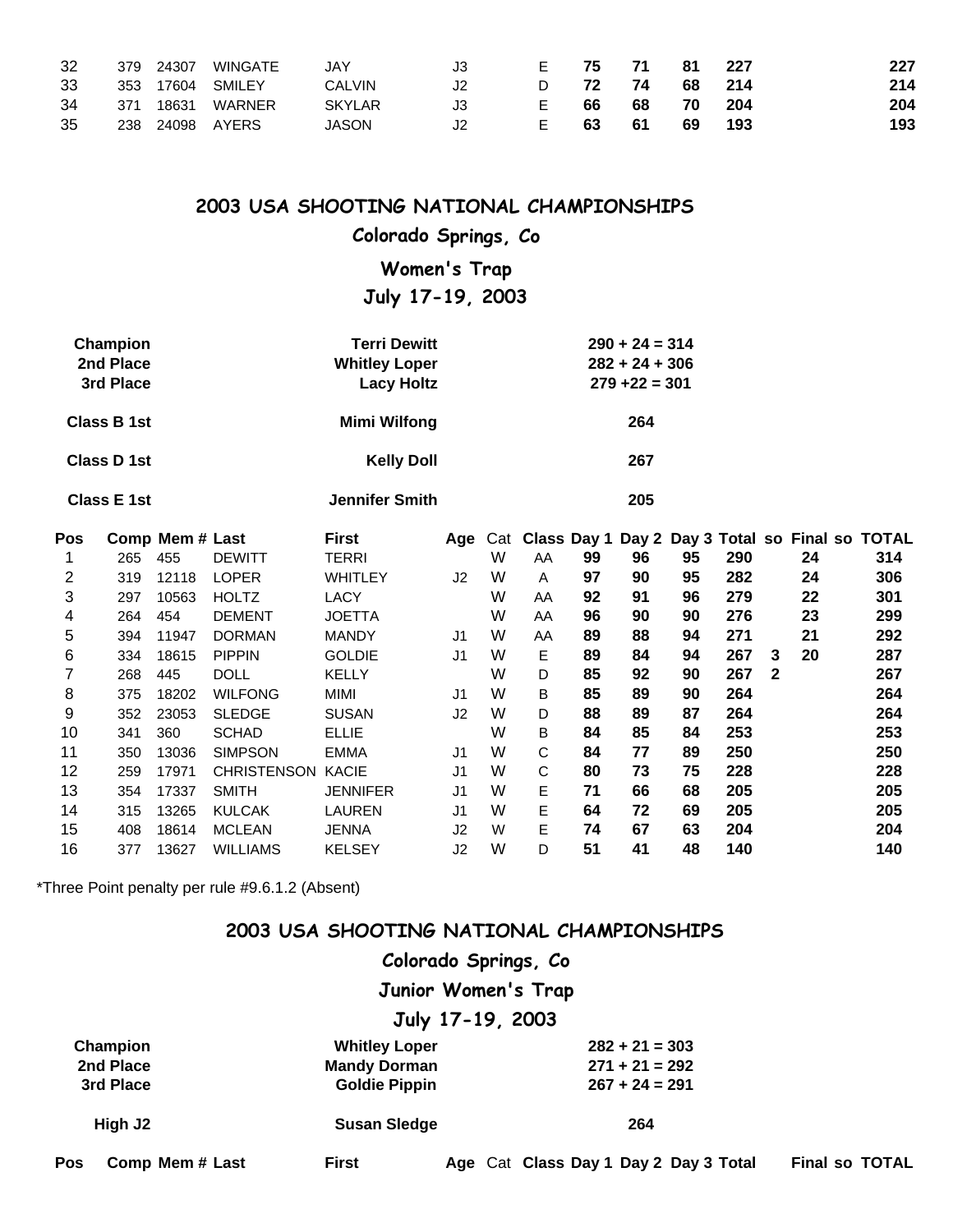| 32 |       | 379 24307 | WINGATE          | JAY           | J3. | F. | -75 | - 71 | -81    | - 227 | 227 |
|----|-------|-----------|------------------|---------------|-----|----|-----|------|--------|-------|-----|
| 33 |       |           | 353 17604 SMILEY | CALVIN        |     | D. | 72  | 74   | 68 214 |       | 214 |
| 34 | - 371 | 18631     | WARNER           | <b>SKYLAR</b> |     | E  | 66  | 68   | 70     | 204   | 204 |
| 35 |       |           | 238 24098 AYERS  | <b>JASON</b>  |     | E. | -63 | 61   | 69     | 193   | 193 |

#### **Colorado Springs, Co**

**Women's Trap**

**July 17-19, 2003**

| Champion    | <b>Terri Dewitt</b>  | $290 + 24 = 314$ |
|-------------|----------------------|------------------|
| 2nd Place   | <b>Whitley Loper</b> | $282 + 24 + 306$ |
| 3rd Place   | <b>Lacy Holtz</b>    | $279 + 22 = 301$ |
| Class B 1st | Mimi Wilfong         | 264              |
| Class D 1st | <b>Kelly Doll</b>    | 267              |

**Class E 1st Jennifer Smith 205**

| <b>Pos</b> |     | Comp Mem# Last |                    | <b>First</b>    | Aqe            | Cat | Class Day 1 |    |    |    |     |             |    | Day 2 Day 3 Total so Final so TOTAL |  |
|------------|-----|----------------|--------------------|-----------------|----------------|-----|-------------|----|----|----|-----|-------------|----|-------------------------------------|--|
|            | 265 | 455            | <b>DEWITT</b>      | TERRI           |                | W   | AA          | 99 | 96 | 95 | 290 |             | 24 | 314                                 |  |
| 2          | 319 | 12118          | <b>LOPER</b>       | WHITLEY         | J <sub>2</sub> | W   | A           | 97 | 90 | 95 | 282 |             | 24 | 306                                 |  |
| 3          | 297 | 10563          | <b>HOLTZ</b>       | <b>LACY</b>     |                | W   | AA          | 92 | 91 | 96 | 279 |             | 22 | 301                                 |  |
| 4          | 264 | 454            | <b>DEMENT</b>      | JOETTA          |                | W   | AA          | 96 | 90 | 90 | 276 |             | 23 | 299                                 |  |
| 5          | 394 | 11947          | <b>DORMAN</b>      | <b>MANDY</b>    | J1             | W   | AA          | 89 | 88 | 94 | 271 |             | 21 | 292                                 |  |
| 6          | 334 | 18615          | <b>PIPPIN</b>      | <b>GOLDIE</b>   | J1             | W   | E.          | 89 | 84 | 94 | 267 | 3           | 20 | 287                                 |  |
|            | 268 | 445            | <b>DOLL</b>        | <b>KELLY</b>    |                | W   | D           | 85 | 92 | 90 | 267 | $\mathbf 2$ |    | 267                                 |  |
| 8          | 375 | 18202          | <b>WILFONG</b>     | MIMI            | J <sub>1</sub> | W   | В           | 85 | 89 | 90 | 264 |             |    | 264                                 |  |
| 9          | 352 | 23053          | <b>SLEDGE</b>      | <b>SUSAN</b>    | J2             | W   | D           | 88 | 89 | 87 | 264 |             |    | 264                                 |  |
| 10         | 341 | 360            | <b>SCHAD</b>       | <b>ELLIE</b>    |                | W   | B           | 84 | 85 | 84 | 253 |             |    | 253                                 |  |
| 11         | 350 | 13036          | <b>SIMPSON</b>     | <b>EMMA</b>     | J1             | W   | C           | 84 | 77 | 89 | 250 |             |    | 250                                 |  |
| 12         | 259 | 17971          | <b>CHRISTENSON</b> | <b>KACIE</b>    | J1             | W   | C           | 80 | 73 | 75 | 228 |             |    | 228                                 |  |
| 13         | 354 | 17337          | <b>SMITH</b>       | <b>JENNIFER</b> | J1             | W   | E.          | 71 | 66 | 68 | 205 |             |    | 205                                 |  |
| 14         | 315 | 13265          | <b>KULCAK</b>      | LAUREN          | J1             | W   | E           | 64 | 72 | 69 | 205 |             |    | 205                                 |  |
| 15         | 408 | 18614          | <b>MCLEAN</b>      | <b>JENNA</b>    | J2             | W   | E.          | 74 | 67 | 63 | 204 |             |    | 204                                 |  |
| 16         | 377 | 13627          | <b>WILLIAMS</b>    | <b>KELSEY</b>   | J2             | W   | D           | 51 | 41 | 48 | 140 |             |    | 140                                 |  |

\*Three Point penalty per rule #9.6.1.2 (Absent)

#### **2003 USA SHOOTING NATIONAL CHAMPIONSHIPS**

### **Colorado Springs, Co**

**Junior Women's Trap**

#### **July 17-19, 2003**

| Champion                      | <b>Whitley Loper</b> | $282 + 21 = 303$                      |                       |
|-------------------------------|----------------------|---------------------------------------|-----------------------|
| 2nd Place                     | <b>Mandy Dorman</b>  | $271 + 21 = 292$                      |                       |
| 3rd Place                     | <b>Goldie Pippin</b> | $267 + 24 = 291$                      |                       |
| High J <sub>2</sub>           | <b>Susan Sledge</b>  | 264                                   |                       |
| <b>Pos</b><br>Comp Mem # Last | <b>First</b>         | Age Cat Class Day 1 Day 2 Day 3 Total | <b>Final so TOTAL</b> |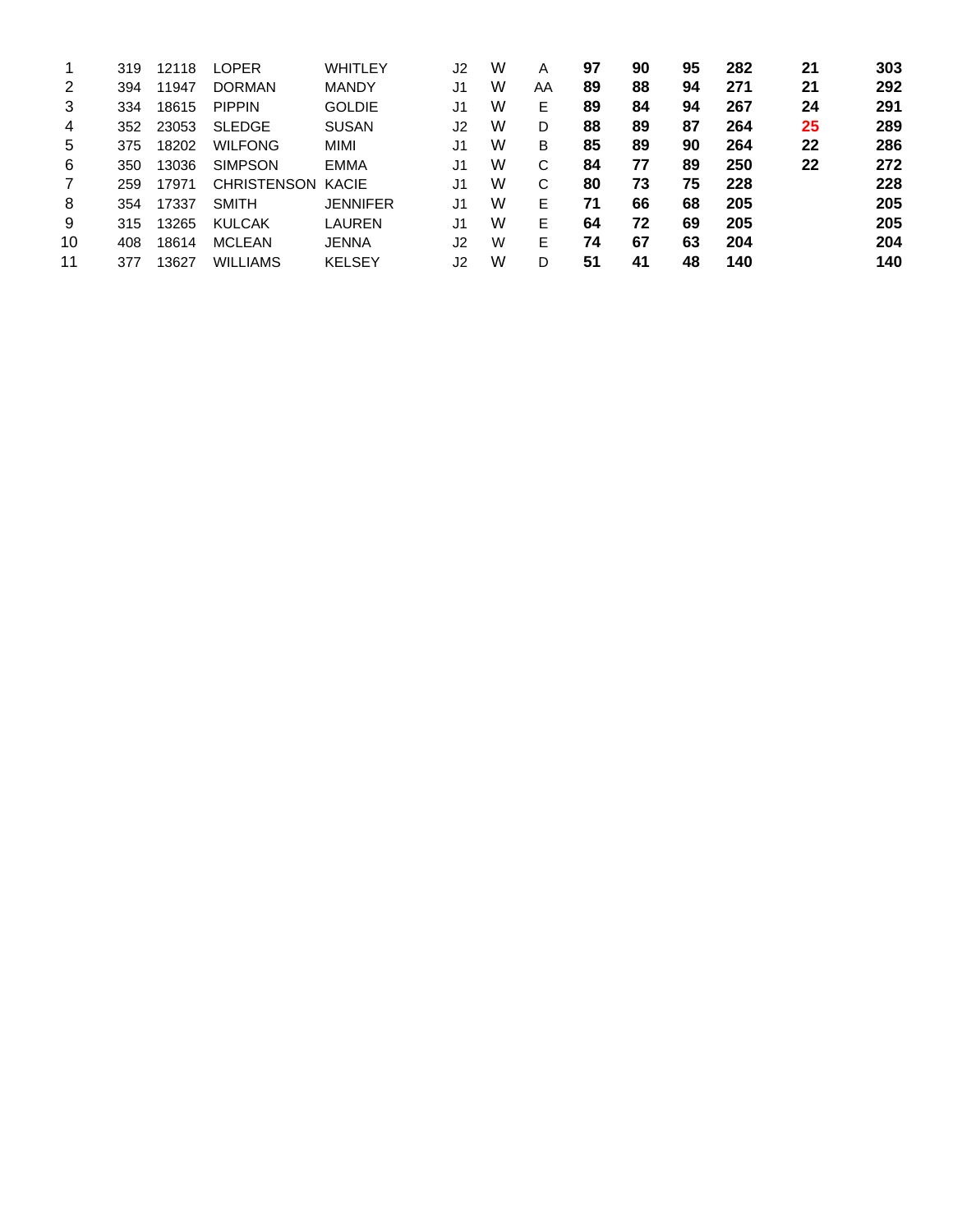| 1  | 319 | 12118 | <b>LOPER</b>       | WHITLEY       | J2             | W | A  | 97 | 90 | 95 | 282 | 21 | 303 |
|----|-----|-------|--------------------|---------------|----------------|---|----|----|----|----|-----|----|-----|
| 2  | 394 | 11947 | <b>DORMAN</b>      | <b>MANDY</b>  | J1             | W | AA | 89 | 88 | 94 | 271 | 21 | 292 |
| 3  | 334 | 18615 | <b>PIPPIN</b>      | <b>GOLDIE</b> | J <sub>1</sub> | W | E  | 89 | 84 | 94 | 267 | 24 | 291 |
| 4  | 352 | 23053 | <b>SLEDGE</b>      | <b>SUSAN</b>  | J2             | W | D  | 88 | 89 | 87 | 264 | 25 | 289 |
| 5  | 375 | 18202 | <b>WILFONG</b>     | MIMI          | J1             | W | в  | 85 | 89 | 90 | 264 | 22 | 286 |
| 6  | 350 | 13036 | <b>SIMPSON</b>     | <b>EMMA</b>   | J <sub>1</sub> | W | C  | 84 | 77 | 89 | 250 | 22 | 272 |
| 7  | 259 | 17971 | <b>CHRISTENSON</b> | KACIE         | J1             | W | C  | 80 | 73 | 75 | 228 |    | 228 |
| 8  | 354 | 17337 | <b>SMITH</b>       | JENNIFER      | J1             | W | Е  | 71 | 66 | 68 | 205 |    | 205 |
| 9  | 315 | 13265 | <b>KULCAK</b>      | LAUREN        | J <sub>1</sub> | W | Е  | 64 | 72 | 69 | 205 |    | 205 |
| 10 | 408 | 18614 | <b>MCLEAN</b>      | <b>JENNA</b>  | J2             | W | Е  | 74 | 67 | 63 | 204 |    | 204 |
| 11 | 377 | 13627 | <b>WILLIAMS</b>    | <b>KELSEY</b> | J2             | W | D  | 51 | 41 | 48 | 140 |    | 140 |
|    |     |       |                    |               |                |   |    |    |    |    |     |    |     |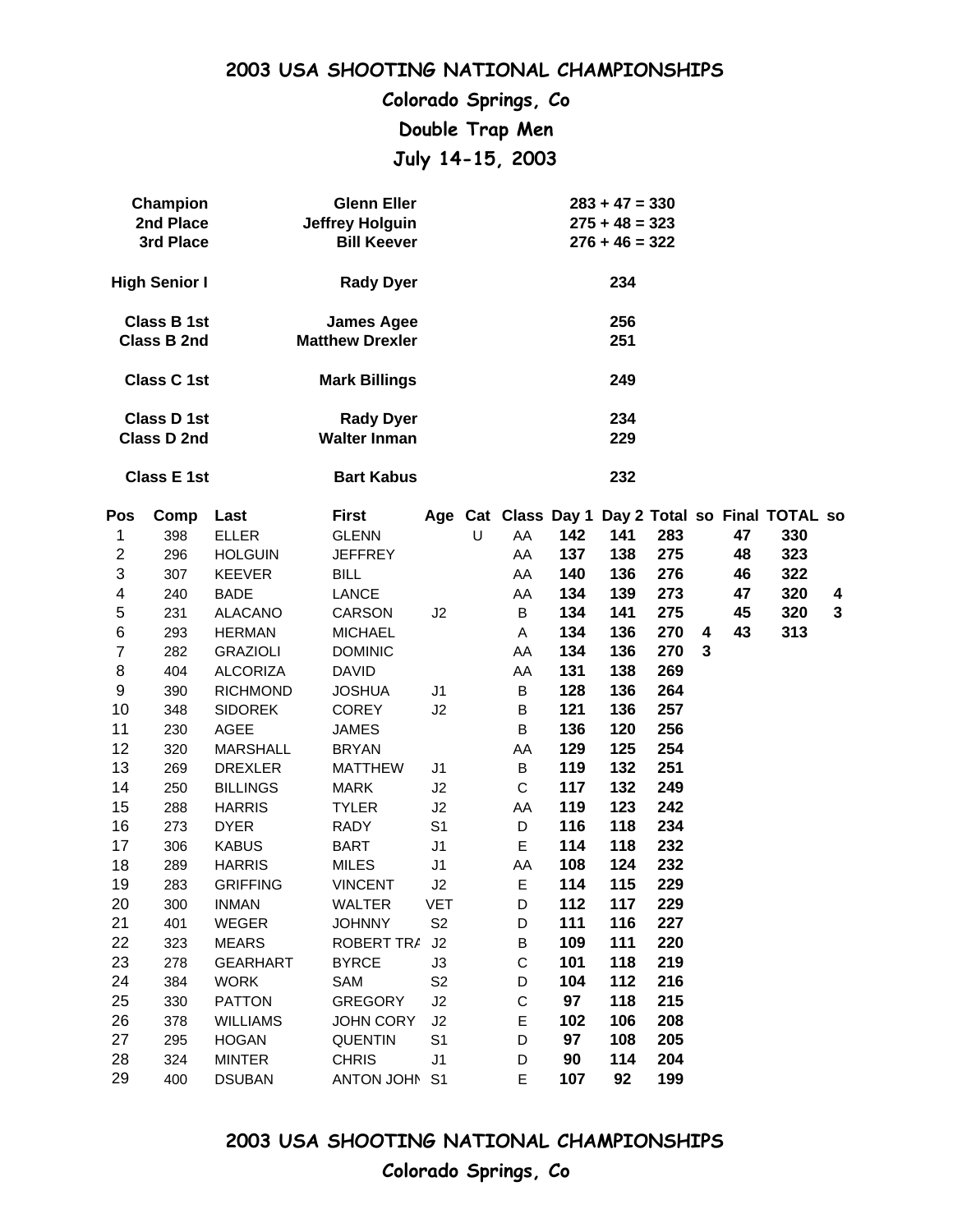**Colorado Springs, Co Double Trap Men July 14-15, 2003**

| <b>Champion</b>    | <b>Glenn Eller</b>     | $283 + 47 = 330$ |
|--------------------|------------------------|------------------|
| 2nd Place          | <b>Jeffrey Holguin</b> | $275 + 48 = 323$ |
| 3rd Place          | <b>Bill Keever</b>     | $276 + 46 = 322$ |
| High Senior I      | <b>Rady Dyer</b>       | 234              |
| <b>Class B 1st</b> | <b>James Agee</b>      | 256              |
| Class B 2nd        | <b>Matthew Drexler</b> | 251              |
| Class C 1st        | <b>Mark Billings</b>   | 249              |
| Class D 1st        | <b>Rady Dyer</b>       | 234              |
| Class D 2nd        | <b>Walter Inman</b>    | 229              |
| <b>Class E 1st</b> | <b>Bart Kabus</b>      | 232              |

| Pos            | Comp | Last            | First             |                |   |             |     |     |     |              |    | Age Cat Class Day 1 Day 2 Total so Final TOTAL so |              |
|----------------|------|-----------------|-------------------|----------------|---|-------------|-----|-----|-----|--------------|----|---------------------------------------------------|--------------|
| 1              | 398  | <b>ELLER</b>    | <b>GLENN</b>      |                | U | AA          | 142 | 141 | 283 |              | 47 | 330                                               |              |
| $\mathbf{2}$   | 296  | <b>HOLGUIN</b>  | <b>JEFFREY</b>    |                |   | AA          | 137 | 138 | 275 |              | 48 | 323                                               |              |
| 3              | 307  | <b>KEEVER</b>   | <b>BILL</b>       |                |   | AA          | 140 | 136 | 276 |              | 46 | 322                                               |              |
| 4              | 240  | <b>BADE</b>     | LANCE             |                |   | AA          | 134 | 139 | 273 |              | 47 | 320                                               | 4            |
| 5              | 231  | <b>ALACANO</b>  | <b>CARSON</b>     | J2             |   | B           | 134 | 141 | 275 |              | 45 | 320                                               | $\mathbf{3}$ |
| $\,6$          | 293  | <b>HERMAN</b>   | <b>MICHAEL</b>    |                |   | A           | 134 | 136 | 270 | 4            | 43 | 313                                               |              |
| $\overline{7}$ | 282  | <b>GRAZIOLI</b> | <b>DOMINIC</b>    |                |   | AA          | 134 | 136 | 270 | $\mathbf{3}$ |    |                                                   |              |
| 8              | 404  | <b>ALCORIZA</b> | <b>DAVID</b>      |                |   | AA          | 131 | 138 | 269 |              |    |                                                   |              |
| 9              | 390  | <b>RICHMOND</b> | <b>JOSHUA</b>     | J1             |   | B           | 128 | 136 | 264 |              |    |                                                   |              |
| 10             | 348  | <b>SIDOREK</b>  | <b>COREY</b>      | J2             |   | B           | 121 | 136 | 257 |              |    |                                                   |              |
| 11             | 230  | AGEE            | <b>JAMES</b>      |                |   | $\sf B$     | 136 | 120 | 256 |              |    |                                                   |              |
| 12             | 320  | <b>MARSHALL</b> | <b>BRYAN</b>      |                |   | AA          | 129 | 125 | 254 |              |    |                                                   |              |
| 13             | 269  | <b>DREXLER</b>  | <b>MATTHEW</b>    | J1             |   | B           | 119 | 132 | 251 |              |    |                                                   |              |
| 14             | 250  | <b>BILLINGS</b> | <b>MARK</b>       | J <sub>2</sub> |   | C           | 117 | 132 | 249 |              |    |                                                   |              |
| 15             | 288  | <b>HARRIS</b>   | <b>TYLER</b>      | J2             |   | AA          | 119 | 123 | 242 |              |    |                                                   |              |
| 16             | 273  | <b>DYER</b>     | <b>RADY</b>       | S <sub>1</sub> |   | D           | 116 | 118 | 234 |              |    |                                                   |              |
| 17             | 306  | <b>KABUS</b>    | <b>BART</b>       | J1             |   | E           | 114 | 118 | 232 |              |    |                                                   |              |
| 18             | 289  | <b>HARRIS</b>   | <b>MILES</b>      | J1             |   | AA          | 108 | 124 | 232 |              |    |                                                   |              |
| 19             | 283  | <b>GRIFFING</b> | <b>VINCENT</b>    | J2             |   | E           | 114 | 115 | 229 |              |    |                                                   |              |
| 20             | 300  | <b>INMAN</b>    | <b>WALTER</b>     | <b>VET</b>     |   | D           | 112 | 117 | 229 |              |    |                                                   |              |
| 21             | 401  | <b>WEGER</b>    | <b>JOHNNY</b>     | S <sub>2</sub> |   | D           | 111 | 116 | 227 |              |    |                                                   |              |
| 22             | 323  | <b>MEARS</b>    | <b>ROBERT TRA</b> | J2             |   | B           | 109 | 111 | 220 |              |    |                                                   |              |
| 23             | 278  | <b>GEARHART</b> | <b>BYRCE</b>      | J3             |   | $\mathsf C$ | 101 | 118 | 219 |              |    |                                                   |              |
| 24             | 384  | <b>WORK</b>     | SAM               | S <sub>2</sub> |   | D           | 104 | 112 | 216 |              |    |                                                   |              |
| 25             | 330  | <b>PATTON</b>   | <b>GREGORY</b>    | J2             |   | C           | 97  | 118 | 215 |              |    |                                                   |              |
| 26             | 378  | <b>WILLIAMS</b> | <b>JOHN CORY</b>  | J2             |   | E           | 102 | 106 | 208 |              |    |                                                   |              |
| 27             | 295  | <b>HOGAN</b>    | <b>QUENTIN</b>    | S <sub>1</sub> |   | D           | 97  | 108 | 205 |              |    |                                                   |              |
| 28             | 324  | <b>MINTER</b>   | <b>CHRIS</b>      | J1             |   | D           | 90  | 114 | 204 |              |    |                                                   |              |
| 29             | 400  | <b>DSUBAN</b>   | ANTON JOHN S1     |                |   | E           | 107 | 92  | 199 |              |    |                                                   |              |

**2003 USA SHOOTING NATIONAL CHAMPIONSHIPS Colorado Springs, Co**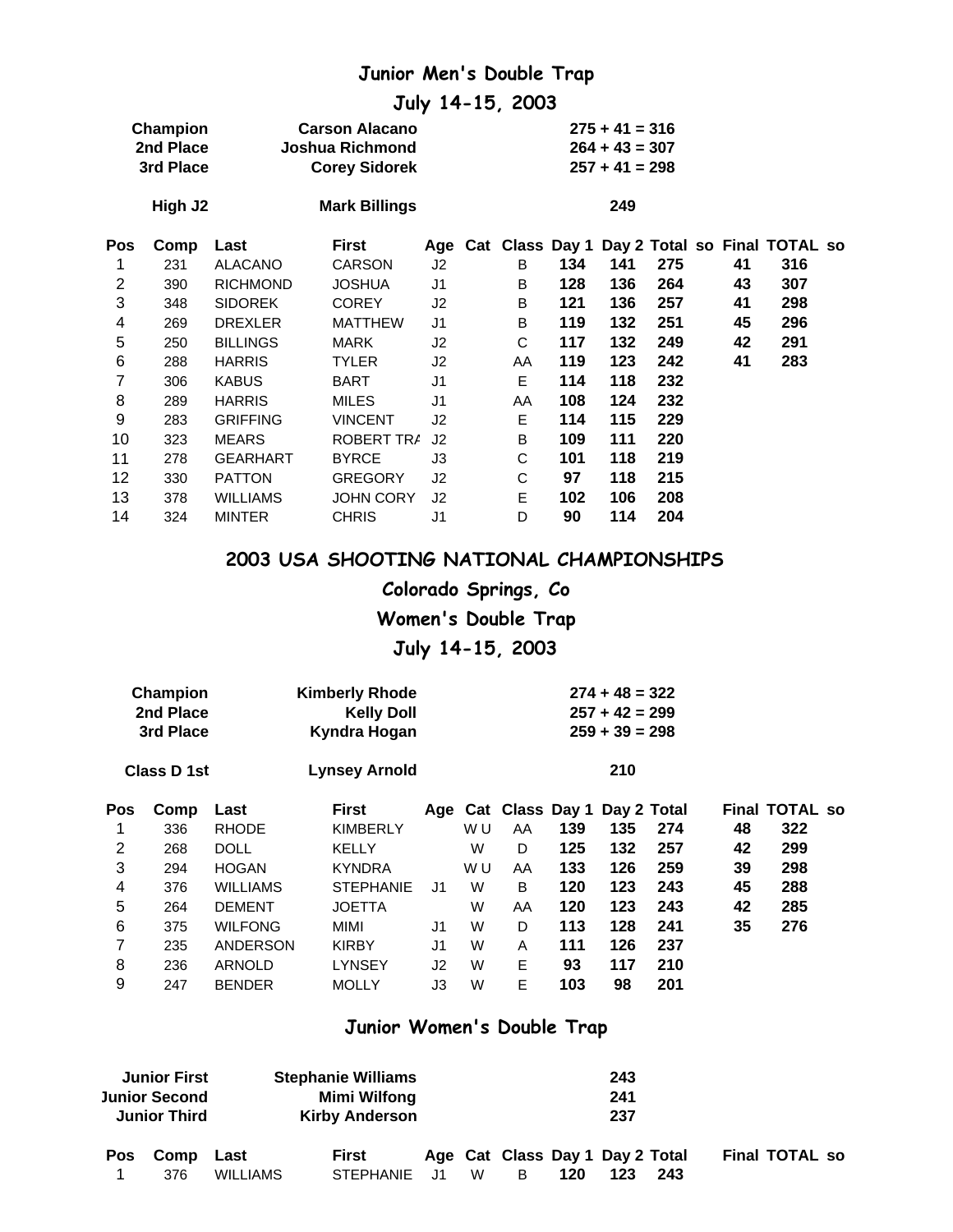## **Junior Men's Double Trap**

**July 14-15, 2003**

|     | Champion<br>2nd Place<br>3rd Place |                 | <b>Carson Alacano</b><br>Joshua Richmond<br><b>Corey Sidorek</b> |                |    |     | $275 + 41 = 316$<br>$264 + 43 = 307$<br>$257 + 41 = 298$ |     |    |                                                   |
|-----|------------------------------------|-----------------|------------------------------------------------------------------|----------------|----|-----|----------------------------------------------------------|-----|----|---------------------------------------------------|
|     | High J2                            |                 | <b>Mark Billings</b>                                             |                |    |     | 249                                                      |     |    |                                                   |
| Pos | Comp                               | Last            | First                                                            |                |    |     |                                                          |     |    | Age Cat Class Day 1 Day 2 Total so Final TOTAL so |
| 1   | 231                                | <b>ALACANO</b>  | <b>CARSON</b>                                                    | J2             | B  | 134 | 141                                                      | 275 | 41 | 316                                               |
| 2   | 390                                | <b>RICHMOND</b> | <b>JOSHUA</b>                                                    | J <sub>1</sub> | B  | 128 | 136                                                      | 264 | 43 | 307                                               |
| 3   | 348                                | <b>SIDOREK</b>  | <b>COREY</b>                                                     | J2             | B  | 121 | 136                                                      | 257 | 41 | 298                                               |
| 4   | 269                                | <b>DREXLER</b>  | <b>MATTHEW</b>                                                   | J <sub>1</sub> | B  | 119 | 132                                                      | 251 | 45 | 296                                               |
| 5   | 250                                | <b>BILLINGS</b> | MARK                                                             | J2             | C  | 117 | 132                                                      | 249 | 42 | 291                                               |
| 6   | 288                                | <b>HARRIS</b>   | <b>TYLER</b>                                                     | J2             | AA | 119 | 123                                                      | 242 | 41 | 283                                               |
| 7   | 306                                | <b>KABUS</b>    | <b>BART</b>                                                      | J <sub>1</sub> | E  | 114 | 118                                                      | 232 |    |                                                   |
| 8   | 289                                | <b>HARRIS</b>   | <b>MILES</b>                                                     | J <sub>1</sub> | AA | 108 | 124                                                      | 232 |    |                                                   |
| 9   | 283                                | <b>GRIFFING</b> | <b>VINCENT</b>                                                   | J <sub>2</sub> | Е  | 114 | 115                                                      | 229 |    |                                                   |
| 10  | 323                                | <b>MEARS</b>    | ROBERT TRA                                                       | J <sub>2</sub> | В  | 109 | 111                                                      | 220 |    |                                                   |
| 11  | 278                                | <b>GEARHART</b> | <b>BYRCE</b>                                                     | J3             | С  | 101 | 118                                                      | 219 |    |                                                   |
| 12  | 330                                | <b>PATTON</b>   | <b>GREGORY</b>                                                   | J2             | С  | 97  | 118                                                      | 215 |    |                                                   |
| 13  | 378                                | <b>WILLIAMS</b> | <b>JOHN CORY</b>                                                 | J2             | E  | 102 | 106                                                      | 208 |    |                                                   |
| 14  | 324                                | <b>MINTER</b>   | <b>CHRIS</b>                                                     | J1             | D  | 90  | 114                                                      | 204 |    |                                                   |

#### **2003 USA SHOOTING NATIONAL CHAMPIONSHIPS**

**Colorado Springs, Co Women's Double Trap July 14-15, 2003**

| Champion<br>2nd Place<br>3rd Place |                 | <b>Kelly Doll</b><br>Kyndra Hogan |                |                       |    |     |     |     |                                                                                             |     |                       |
|------------------------------------|-----------------|-----------------------------------|----------------|-----------------------|----|-----|-----|-----|---------------------------------------------------------------------------------------------|-----|-----------------------|
|                                    |                 | <b>Lynsey Arnold</b>              |                |                       |    |     | 210 |     |                                                                                             |     |                       |
| Comp                               | Last            | <b>First</b>                      |                |                       |    |     |     |     |                                                                                             |     |                       |
| 336                                | <b>RHODE</b>    | <b>KIMBERLY</b>                   |                | W U                   | AA | 139 | 135 | 274 | 48                                                                                          | 322 |                       |
| 268                                | <b>DOLL</b>     | <b>KELLY</b>                      |                | W                     | D  | 125 | 132 | 257 | 42                                                                                          | 299 |                       |
| 294                                | <b>HOGAN</b>    | <b>KYNDRA</b>                     |                | W U                   | AA | 133 | 126 | 259 | 39                                                                                          | 298 |                       |
| 376                                | <b>WILLIAMS</b> | <b>STEPHANIE</b>                  | J <sub>1</sub> | W                     | B  | 120 | 123 | 243 | 45                                                                                          | 288 |                       |
| 264                                | <b>DEMENT</b>   | <b>JOETTA</b>                     |                | W                     | AA | 120 | 123 | 243 | 42                                                                                          | 285 |                       |
| 375                                | <b>WILFONG</b>  | MIMI                              | J1             | W                     | D  | 113 | 128 | 241 | 35                                                                                          | 276 |                       |
| 235                                |                 | <b>KIRBY</b>                      | J1             | W                     | A  | 111 | 126 | 237 |                                                                                             |     |                       |
| 236                                | <b>ARNOLD</b>   | <b>LYNSEY</b>                     | J2             | W                     | Е  | 93  | 117 | 210 |                                                                                             |     |                       |
| 247                                | <b>BENDER</b>   | <b>MOLLY</b>                      | J3             | W                     | E  | 103 | 98  | 201 |                                                                                             |     |                       |
|                                    |                 | Class D 1st                       | ANDERSON       | <b>Kimberly Rhode</b> |    |     |     |     | $274 + 48 = 322$<br>$257 + 42 = 299$<br>$259 + 39 = 298$<br>Age Cat Class Day 1 Day 2 Total |     | <b>Final TOTAL so</b> |

#### **Junior Women's Double Trap**

|            | <b>Junior First</b><br><b>Stephanie Williams</b><br>Mimi Wilfong<br><b>Junior Second</b><br><b>Kirby Anderson</b><br><b>Junior Third</b> |                 |                  |   |   | 243<br>241<br>237 |                                 |     |                       |
|------------|------------------------------------------------------------------------------------------------------------------------------------------|-----------------|------------------|---|---|-------------------|---------------------------------|-----|-----------------------|
| <b>Pos</b> | Comp                                                                                                                                     | Last            | First            |   |   |                   | Age Cat Class Day 1 Day 2 Total |     | <b>Final TOTAL so</b> |
|            | 376                                                                                                                                      | <b>WILLIAMS</b> | <b>STEPHANIE</b> | W | в | 120               | 123                             | 243 |                       |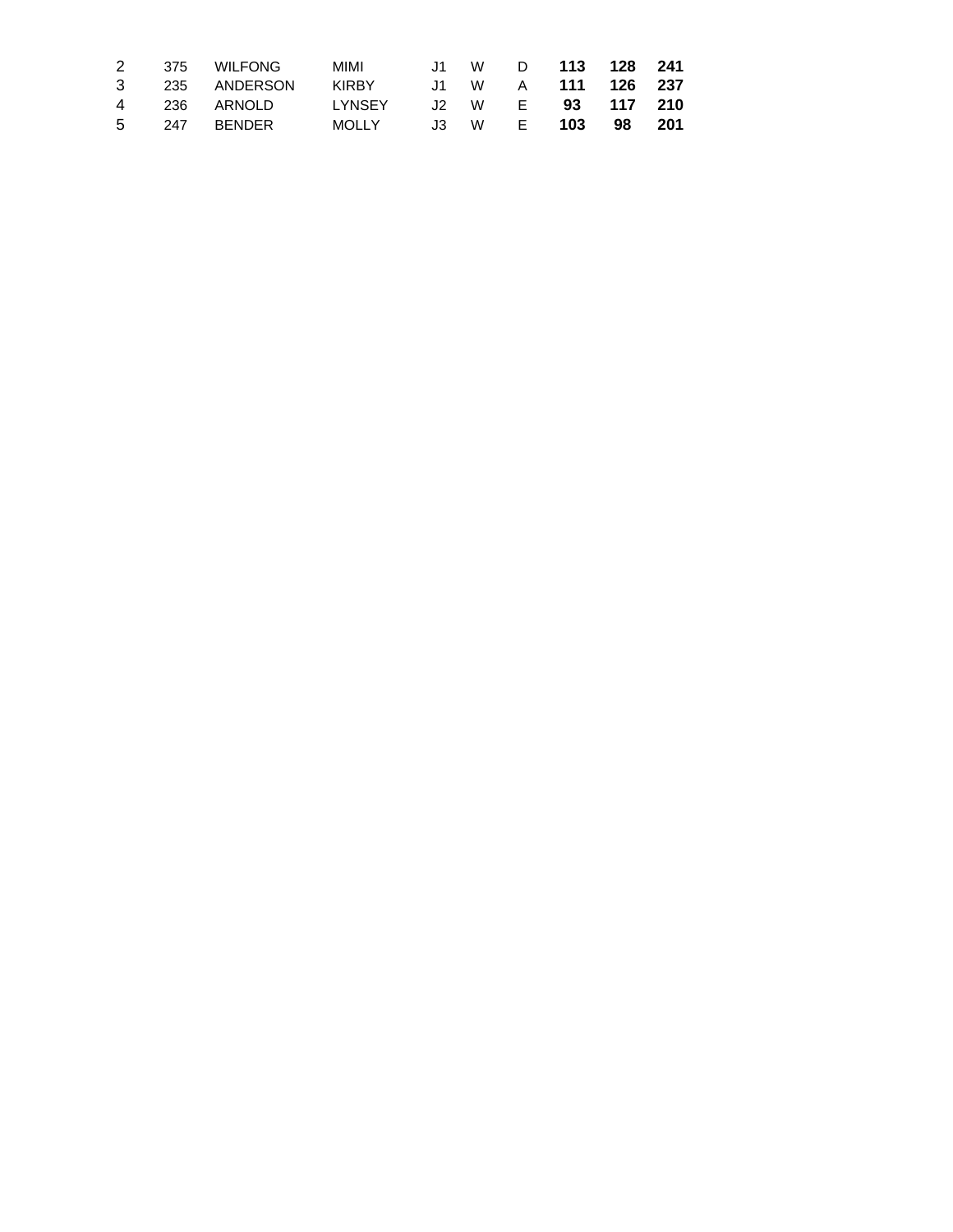|  | 2 375 WILFONG                           | <b>MIMI</b>                    |  | J1 W D <b>113 128 241</b> |  |
|--|-----------------------------------------|--------------------------------|--|---------------------------|--|
|  | 3 235 ANDERSON KIRBY J1 W A 111 126 237 |                                |  |                           |  |
|  |                                         |                                |  | J2 W E <b>93 117 210</b>  |  |
|  | 5 247 BENDER                            | MOLLY J3 W E <b>103 98 201</b> |  |                           |  |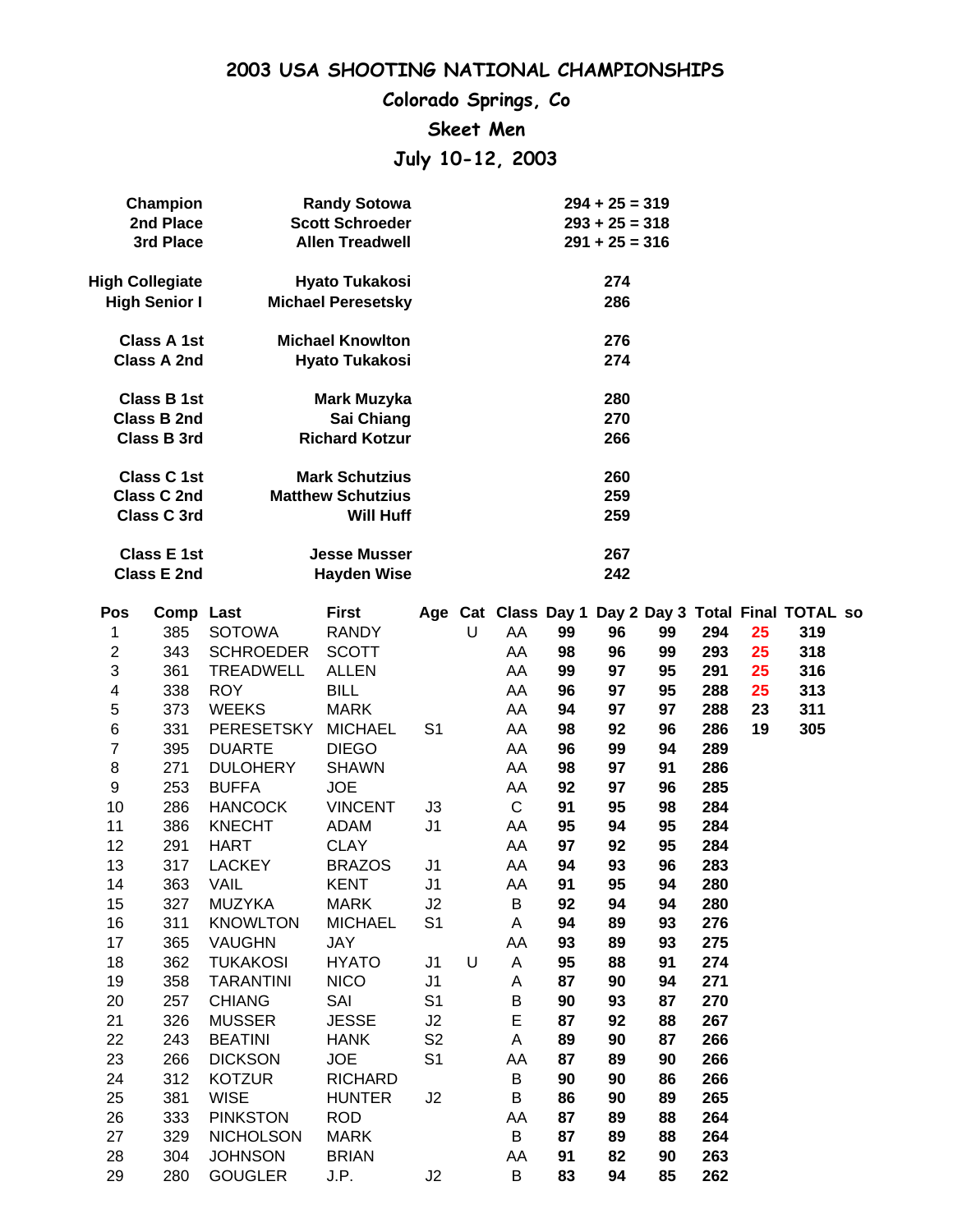**Colorado Springs, Co**

#### **Skeet Men**

# **July 10-12, 2003**

|                | Champion                                 |                   | <b>Randy Sotowa</b>                              |                |   |              |    | $294 + 25 = 319$ |    |     |    |                                                      |  |
|----------------|------------------------------------------|-------------------|--------------------------------------------------|----------------|---|--------------|----|------------------|----|-----|----|------------------------------------------------------|--|
|                | 2nd Place                                |                   | <b>Scott Schroeder</b>                           |                |   |              |    | $293 + 25 = 318$ |    |     |    |                                                      |  |
|                | 3rd Place                                |                   | <b>Allen Treadwell</b>                           |                |   |              |    | $291 + 25 = 316$ |    |     |    |                                                      |  |
|                | <b>High Collegiate</b>                   |                   | <b>Hyato Tukakosi</b>                            |                |   |              |    | 274              |    |     |    |                                                      |  |
|                | <b>High Senior I</b>                     |                   | <b>Michael Peresetsky</b>                        |                |   |              |    | 286              |    |     |    |                                                      |  |
|                |                                          |                   |                                                  |                |   |              |    |                  |    |     |    |                                                      |  |
|                | <b>Class A 1st</b><br><b>Class A 2nd</b> |                   | <b>Michael Knowlton</b><br><b>Hyato Tukakosi</b> |                |   |              |    | 276<br>274       |    |     |    |                                                      |  |
|                |                                          |                   |                                                  |                |   |              |    |                  |    |     |    |                                                      |  |
|                | <b>Class B 1st</b>                       |                   | <b>Mark Muzyka</b>                               |                |   |              |    | 280              |    |     |    |                                                      |  |
|                | <b>Class B 2nd</b>                       |                   | Sai Chiang                                       |                |   |              |    | 270              |    |     |    |                                                      |  |
|                | <b>Class B 3rd</b>                       |                   | <b>Richard Kotzur</b>                            |                |   |              |    | 266              |    |     |    |                                                      |  |
|                | <b>Class C 1st</b>                       |                   | <b>Mark Schutzius</b>                            |                |   |              |    | 260              |    |     |    |                                                      |  |
|                | <b>Class C 2nd</b>                       |                   | <b>Matthew Schutzius</b>                         |                |   |              |    | 259              |    |     |    |                                                      |  |
|                | <b>Class C 3rd</b>                       |                   | <b>Will Huff</b>                                 |                |   |              |    | 259              |    |     |    |                                                      |  |
|                | <b>Class E 1st</b>                       |                   | <b>Jesse Musser</b>                              |                |   |              |    | 267              |    |     |    |                                                      |  |
|                | <b>Class E 2nd</b>                       |                   | <b>Hayden Wise</b>                               |                |   |              |    | 242              |    |     |    |                                                      |  |
| Pos            | Comp Last                                |                   | <b>First</b>                                     |                |   |              |    |                  |    |     |    | Age Cat Class Day 1 Day 2 Day 3 Total Final TOTAL so |  |
| 1              | 385                                      | <b>SOTOWA</b>     | <b>RANDY</b>                                     |                | U | AA           | 99 | 96               | 99 | 294 | 25 | 319                                                  |  |
| $\overline{c}$ | 343                                      | <b>SCHROEDER</b>  | <b>SCOTT</b>                                     |                |   | AA           | 98 | 96               | 99 | 293 | 25 | 318                                                  |  |
| 3              | 361                                      | <b>TREADWELL</b>  | <b>ALLEN</b>                                     |                |   | AA           | 99 | 97               | 95 | 291 | 25 | 316                                                  |  |
| 4              | 338                                      | <b>ROY</b>        | <b>BILL</b>                                      |                |   | AA           | 96 | 97               | 95 | 288 | 25 | 313                                                  |  |
| 5              | 373                                      | <b>WEEKS</b>      | <b>MARK</b>                                      |                |   | AA           | 94 | 97               | 97 | 288 | 23 | 311                                                  |  |
| 6              | 331                                      | <b>PERESETSKY</b> | <b>MICHAEL</b>                                   | S <sub>1</sub> |   | AA           | 98 | 92               | 96 | 286 | 19 | 305                                                  |  |
| $\overline{7}$ | 395                                      | <b>DUARTE</b>     | <b>DIEGO</b>                                     |                |   | AA           | 96 | 99               | 94 | 289 |    |                                                      |  |
| 8              | 271                                      | <b>DULOHERY</b>   | <b>SHAWN</b>                                     |                |   | AA           | 98 | 97               | 91 | 286 |    |                                                      |  |
| 9              | 253                                      | <b>BUFFA</b>      | <b>JOE</b>                                       |                |   | AA           | 92 | 97               | 96 | 285 |    |                                                      |  |
| 10             | 286                                      | <b>HANCOCK</b>    | <b>VINCENT</b>                                   | J3             |   | $\mathsf{C}$ | 91 | 95               | 98 | 284 |    |                                                      |  |
| 11             | 386                                      | <b>KNECHT</b>     | <b>ADAM</b>                                      | J1             |   | AA           | 95 | 94               | 95 | 284 |    |                                                      |  |
| 12             | 291                                      | <b>HART</b>       | <b>CLAY</b>                                      |                |   | AA           | 97 | 92               | 95 | 284 |    |                                                      |  |
| 13             | 317                                      | <b>LACKEY</b>     | <b>BRAZOS</b>                                    | J1             |   | AA           | 94 | 93               | 96 | 283 |    |                                                      |  |
| 14             | 363                                      | VAIL              | <b>KENT</b>                                      | J1             |   | AA           | 91 | 95               | 94 | 280 |    |                                                      |  |
| 15             | 327                                      | <b>MUZYKA</b>     | <b>MARK</b>                                      | J2             |   | B            | 92 | 94               | 94 | 280 |    |                                                      |  |
| 16             | 311                                      | <b>KNOWLTON</b>   | <b>MICHAEL</b>                                   | S <sub>1</sub> |   | A            | 94 | 89               | 93 | 276 |    |                                                      |  |
| 17             | 365                                      | <b>VAUGHN</b>     | JAY                                              |                |   | AA           | 93 | 89               | 93 | 275 |    |                                                      |  |
| 18             | 362                                      | <b>TUKAKOSI</b>   | <b>HYATO</b>                                     | J <sub>1</sub> | U | A            | 95 | 88               | 91 | 274 |    |                                                      |  |
| 19             | 358                                      | <b>TARANTINI</b>  | <b>NICO</b>                                      | J1             |   | Α            | 87 | 90               | 94 | 271 |    |                                                      |  |
| 20             | 257                                      | <b>CHIANG</b>     | SAI                                              | S <sub>1</sub> |   | B            | 90 | 93               | 87 | 270 |    |                                                      |  |
| 21             | 326                                      | <b>MUSSER</b>     | <b>JESSE</b>                                     | J2             |   | E            | 87 | 92               | 88 | 267 |    |                                                      |  |
| 22             | 243                                      | <b>BEATINI</b>    | <b>HANK</b>                                      | S <sub>2</sub> |   | A            | 89 | 90               | 87 | 266 |    |                                                      |  |
| 23             | 266                                      | <b>DICKSON</b>    | <b>JOE</b>                                       | S <sub>1</sub> |   | AA           | 87 | 89               | 90 | 266 |    |                                                      |  |
| 24             | 312                                      | <b>KOTZUR</b>     | <b>RICHARD</b>                                   |                |   | $\sf B$      | 90 | 90               | 86 | 266 |    |                                                      |  |
| 25             | 381                                      | <b>WISE</b>       | <b>HUNTER</b>                                    | J2             |   | B            | 86 | 90               | 89 | 265 |    |                                                      |  |
| 26             | 333                                      | <b>PINKSTON</b>   | <b>ROD</b>                                       |                |   | AA           | 87 | 89               | 88 | 264 |    |                                                      |  |
| 27             | 329                                      | <b>NICHOLSON</b>  | <b>MARK</b>                                      |                |   | B            | 87 | 89               | 88 | 264 |    |                                                      |  |
| 28             | 304                                      | <b>JOHNSON</b>    | <b>BRIAN</b>                                     |                |   | AA           | 91 | 82               | 90 | 263 |    |                                                      |  |
| 29             | 280                                      | <b>GOUGLER</b>    | J.P.                                             | J2             |   | B            | 83 | 94               | 85 | 262 |    |                                                      |  |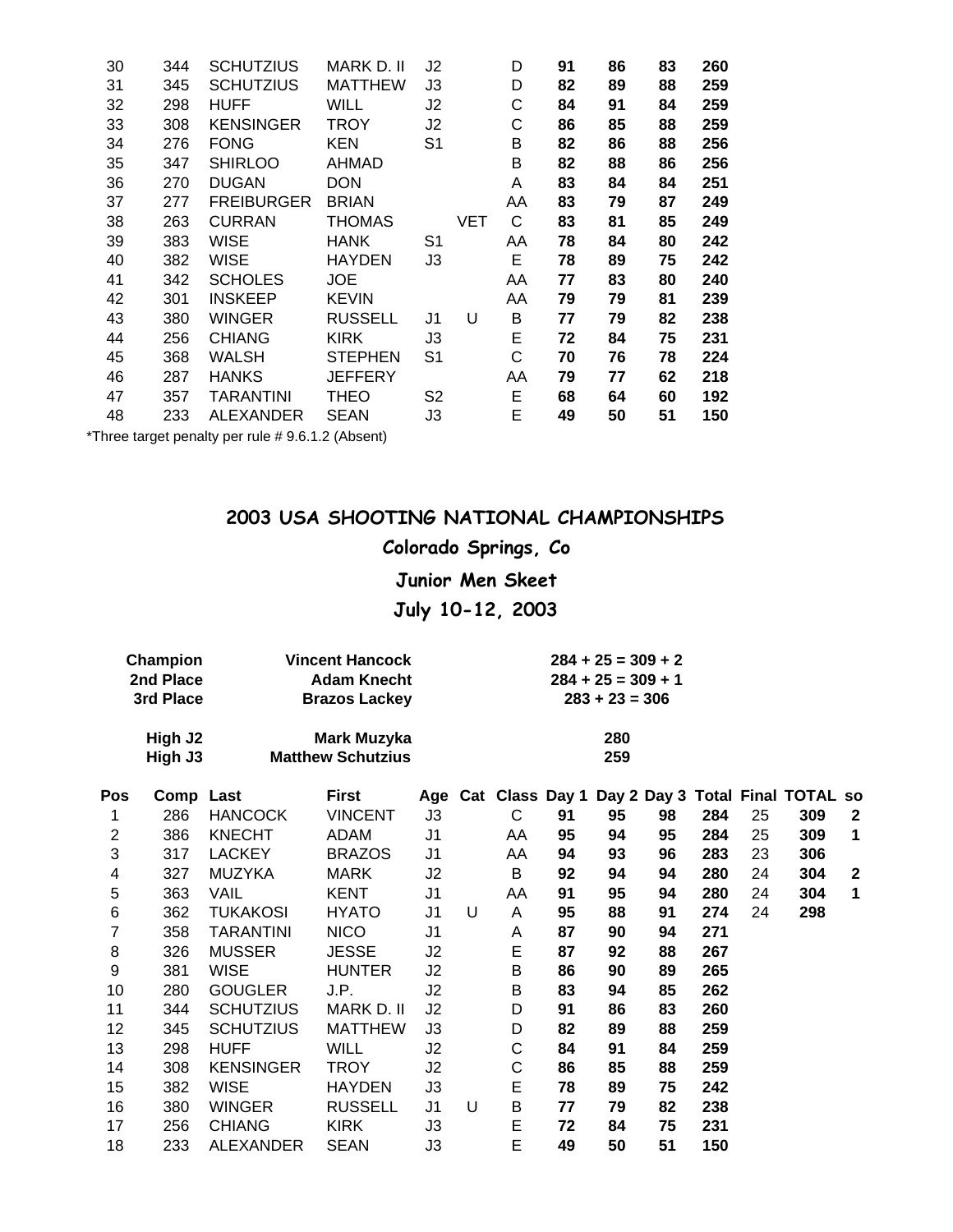| 30 | 344 | SCHUTZIUS         | MARK D. II     | J2             |     | D  | 91 | 86 | 83 | 260 |
|----|-----|-------------------|----------------|----------------|-----|----|----|----|----|-----|
| 31 | 345 | <b>SCHUTZIUS</b>  | <b>MATTHEW</b> | J3             |     | D  | 82 | 89 | 88 | 259 |
| 32 | 298 | HUFF              | WILL           | J2             |     | С  | 84 | 91 | 84 | 259 |
| 33 | 308 | <b>KENSINGER</b>  | <b>TROY</b>    | J2             |     | C  | 86 | 85 | 88 | 259 |
| 34 | 276 | <b>FONG</b>       | KEN            | S <sub>1</sub> |     | В  | 82 | 86 | 88 | 256 |
| 35 | 347 | <b>SHIRLOO</b>    | AHMAD          |                |     | B  | 82 | 88 | 86 | 256 |
| 36 | 270 | <b>DUGAN</b>      | <b>DON</b>     |                |     | A  | 83 | 84 | 84 | 251 |
| 37 | 277 | <b>FREIBURGER</b> | <b>BRIAN</b>   |                |     | AA | 83 | 79 | 87 | 249 |
| 38 | 263 | <b>CURRAN</b>     | THOMAS         |                | VET | C  | 83 | 81 | 85 | 249 |
| 39 | 383 | WISE              | <b>HANK</b>    | S <sub>1</sub> |     | AA | 78 | 84 | 80 | 242 |
| 40 | 382 | WISE              | <b>HAYDEN</b>  | JЗ             |     | Е  | 78 | 89 | 75 | 242 |
| 41 | 342 | <b>SCHOLES</b>    | JOE            |                |     | AA | 77 | 83 | 80 | 240 |
| 42 | 301 | <b>INSKEEP</b>    | <b>KEVIN</b>   |                |     | AA | 79 | 79 | 81 | 239 |
| 43 | 380 | WINGER            | <b>RUSSELL</b> | J1             | U   | В  | 77 | 79 | 82 | 238 |
| 44 | 256 | <b>CHIANG</b>     | <b>KIRK</b>    | JЗ             |     | E  | 72 | 84 | 75 | 231 |
| 45 | 368 | WALSH             | <b>STEPHEN</b> | S <sub>1</sub> |     | С  | 70 | 76 | 78 | 224 |
| 46 | 287 | HANKS             | <b>JEFFERY</b> |                |     | AA | 79 | 77 | 62 | 218 |
| 47 | 357 | <b>TARANTINI</b>  | THEO           | S <sub>2</sub> |     | E  | 68 | 64 | 60 | 192 |
| 48 | 233 | <b>ALEXANDER</b>  | <b>SEAN</b>    | J3             |     | E  | 49 | 50 | 51 | 150 |
|    |     |                   |                |                |     |    |    |    |    |     |

\*Three target penalty per rule # 9.6.1.2 (Absent)

### **2003 USA SHOOTING NATIONAL CHAMPIONSHIPS**

## **Colorado Springs, Co**

#### **Junior Men Skeet**

## **July 10-12, 2003**

| Champion  | <b>Vincent Hancock</b>   | $284 + 25 = 309 + 2$ |
|-----------|--------------------------|----------------------|
| 2nd Place | <b>Adam Knecht</b>       | $284 + 25 = 309 + 1$ |
| 3rd Place | <b>Brazos Lackey</b>     | $283 + 23 = 306$     |
| High J2   | Mark Muzyka              | 280                  |
| High J3   | <b>Matthew Schutzius</b> | 259                  |

| Pos            | Comp Last |                  | <b>First</b>   |                |   | Age Cat Class Day 1 |    |    |    |     |    | Day 2 Day 3 Total Final TOTAL so |              |
|----------------|-----------|------------------|----------------|----------------|---|---------------------|----|----|----|-----|----|----------------------------------|--------------|
| 1              | 286       | <b>HANCOCK</b>   | <b>VINCENT</b> | J3             |   | C                   | 91 | 95 | 98 | 284 | 25 | 309                              | $\mathbf{2}$ |
| $\overline{2}$ | 386       | <b>KNECHT</b>    | ADAM           | J <sub>1</sub> |   | AA                  | 95 | 94 | 95 | 284 | 25 | 309                              | $\mathbf 1$  |
| 3              | 317       | <b>LACKEY</b>    | <b>BRAZOS</b>  | J1             |   | AA                  | 94 | 93 | 96 | 283 | 23 | 306                              |              |
| 4              | 327       | <b>MUZYKA</b>    | <b>MARK</b>    | J2             |   | B                   | 92 | 94 | 94 | 280 | 24 | 304                              | $\mathbf{2}$ |
| 5              | 363       | VAIL             | <b>KENT</b>    | J <sub>1</sub> |   | AA                  | 91 | 95 | 94 | 280 | 24 | 304                              | $\mathbf 1$  |
| 6              | 362       | <b>TUKAKOSI</b>  | <b>HYATO</b>   | J1             | U | A                   | 95 | 88 | 91 | 274 | 24 | 298                              |              |
| 7              | 358       | TARANTINI        | <b>NICO</b>    | J1             |   | Α                   | 87 | 90 | 94 | 271 |    |                                  |              |
| 8              | 326       | <b>MUSSER</b>    | <b>JESSE</b>   | J2             |   | E                   | 87 | 92 | 88 | 267 |    |                                  |              |
| 9              | 381       | <b>WISE</b>      | <b>HUNTER</b>  | J2             |   | B                   | 86 | 90 | 89 | 265 |    |                                  |              |
| 10             | 280       | <b>GOUGLER</b>   | J.P.           | J2             |   | B                   | 83 | 94 | 85 | 262 |    |                                  |              |
| 11             | 344       | <b>SCHUTZIUS</b> | MARK D. II     | J2             |   | D                   | 91 | 86 | 83 | 260 |    |                                  |              |
| 12             | 345       | <b>SCHUTZIUS</b> | <b>MATTHEW</b> | JЗ             |   | D                   | 82 | 89 | 88 | 259 |    |                                  |              |
| 13             | 298       | <b>HUFF</b>      | <b>WILL</b>    | J2             |   | С                   | 84 | 91 | 84 | 259 |    |                                  |              |
| 14             | 308       | <b>KENSINGER</b> | TROY           | J2             |   | С                   | 86 | 85 | 88 | 259 |    |                                  |              |
| 15             | 382       | WISE             | <b>HAYDEN</b>  | JЗ             |   | E                   | 78 | 89 | 75 | 242 |    |                                  |              |
| 16             | 380       | WINGER           | <b>RUSSELL</b> | J1             | U | B                   | 77 | 79 | 82 | 238 |    |                                  |              |
| 17             | 256       | <b>CHIANG</b>    | <b>KIRK</b>    | J3             |   | E                   | 72 | 84 | 75 | 231 |    |                                  |              |
| 18             | 233       | <b>ALEXANDER</b> | <b>SEAN</b>    | J3             |   | E                   | 49 | 50 | 51 | 150 |    |                                  |              |